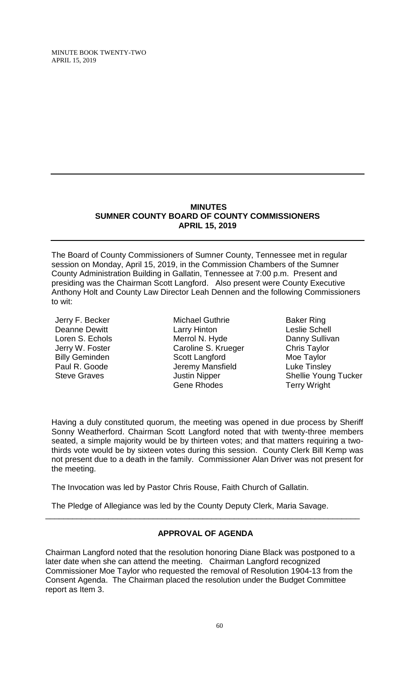## **MINUTES SUMNER COUNTY BOARD OF COUNTY COMMISSIONERS APRIL 15, 2019**

The Board of County Commissioners of Sumner County, Tennessee met in regular session on Monday, April 15, 2019, in the Commission Chambers of the Sumner County Administration Building in Gallatin, Tennessee at 7:00 p.m. Present and presiding was the Chairman Scott Langford. Also present were County Executive Anthony Holt and County Law Director Leah Dennen and the following Commissioners to wit:

Jerry F. Becker Deanne Dewitt Loren S. Echols Jerry W. Foster Billy Geminden Paul R. Goode Steve Graves

Michael Guthrie Larry Hinton Merrol N. Hyde Caroline S. Krueger Scott Langford Jeremy Mansfield Justin Nipper Gene Rhodes

Baker Ring Leslie Schell Danny Sullivan Chris Taylor Moe Taylor Luke Tinsley Shellie Young Tucker Terry Wright

Having a duly constituted quorum, the meeting was opened in due process by Sheriff Sonny Weatherford. Chairman Scott Langford noted that with twenty-three members seated, a simple majority would be by thirteen votes; and that matters requiring a twothirds vote would be by sixteen votes during this session. County Clerk Bill Kemp was not present due to a death in the family. Commissioner Alan Driver was not present for the meeting.

The Invocation was led by Pastor Chris Rouse, Faith Church of Gallatin.

The Pledge of Allegiance was led by the County Deputy Clerk, Maria Savage.

# **APPROVAL OF AGENDA**

\_\_\_\_\_\_\_\_\_\_\_\_\_\_\_\_\_\_\_\_\_\_\_\_\_\_\_\_\_\_\_\_\_\_\_\_\_\_\_\_\_\_\_\_\_\_\_\_\_\_\_\_\_\_\_\_\_\_\_\_\_\_\_\_\_\_\_\_\_\_

Chairman Langford noted that the resolution honoring Diane Black was postponed to a later date when she can attend the meeting. Chairman Langford recognized Commissioner Moe Taylor who requested the removal of Resolution 1904-13 from the Consent Agenda. The Chairman placed the resolution under the Budget Committee report as Item 3.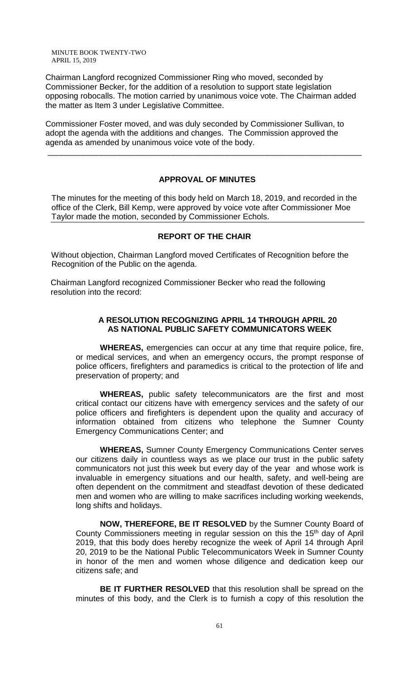Chairman Langford recognized Commissioner Ring who moved, seconded by Commissioner Becker, for the addition of a resolution to support state legislation opposing robocalls. The motion carried by unanimous voice vote. The Chairman added the matter as Item 3 under Legislative Committee.

Commissioner Foster moved, and was duly seconded by Commissioner Sullivan, to adopt the agenda with the additions and changes. The Commission approved the agenda as amended by unanimous voice vote of the body.

# **APPROVAL OF MINUTES**

\_\_\_\_\_\_\_\_\_\_\_\_\_\_\_\_\_\_\_\_\_\_\_\_\_\_\_\_\_\_\_\_\_\_\_\_\_\_\_\_\_\_\_\_\_\_\_\_\_\_\_\_\_\_\_\_\_\_\_\_\_\_\_\_\_\_\_\_\_\_

The minutes for the meeting of this body held on March 18, 2019, and recorded in the office of the Clerk, Bill Kemp, were approved by voice vote after Commissioner Moe Taylor made the motion, seconded by Commissioner Echols.

## **REPORT OF THE CHAIR**

 Without objection, Chairman Langford moved Certificates of Recognition before the Recognition of the Public on the agenda.

Chairman Langford recognized Commissioner Becker who read the following resolution into the record:

### **A RESOLUTION RECOGNIZING APRIL 14 THROUGH APRIL 20 AS NATIONAL PUBLIC SAFETY COMMUNICATORS WEEK**

**WHEREAS,** emergencies can occur at any time that require police, fire, or medical services, and when an emergency occurs, the prompt response of police officers, firefighters and paramedics is critical to the protection of life and preservation of property; and

**WHEREAS,** public safety telecommunicators are the first and most critical contact our citizens have with emergency services and the safety of our police officers and firefighters is dependent upon the quality and accuracy of information obtained from citizens who telephone the Sumner County Emergency Communications Center; and

**WHEREAS,** Sumner County Emergency Communications Center serves our citizens daily in countless ways as we place our trust in the public safety communicators not just this week but every day of the year and whose work is invaluable in emergency situations and our health, safety, and well-being are often dependent on the commitment and steadfast devotion of these dedicated men and women who are willing to make sacrifices including working weekends, long shifts and holidays.

**NOW, THEREFORE, BE IT RESOLVED** by the Sumner County Board of County Commissioners meeting in regular session on this the 15<sup>th</sup> day of April 2019, that this body does hereby recognize the week of April 14 through April 20, 2019 to be the National Public Telecommunicators Week in Sumner County in honor of the men and women whose diligence and dedication keep our citizens safe; and

**BE IT FURTHER RESOLVED** that this resolution shall be spread on the minutes of this body, and the Clerk is to furnish a copy of this resolution the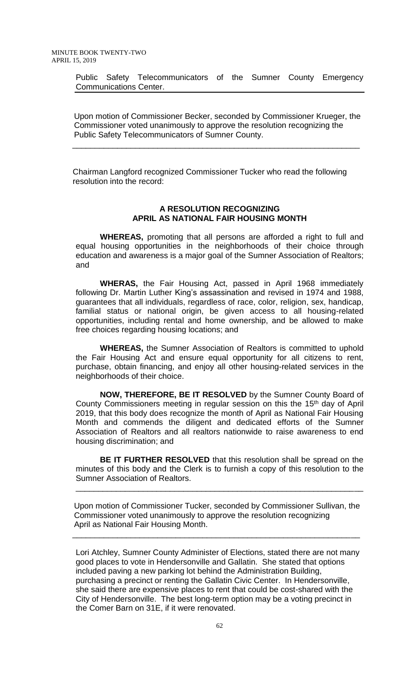Public Safety Telecommunicators of the Sumner County Emergency Communications Center.

Upon motion of Commissioner Becker, seconded by Commissioner Krueger, the Commissioner voted unanimously to approve the resolution recognizing the Public Safety Telecommunicators of Sumner County.

Chairman Langford recognized Commissioner Tucker who read the following resolution into the record:

\_\_\_\_\_\_\_\_\_\_\_\_\_\_\_\_\_\_\_\_\_\_\_\_\_\_\_\_\_\_\_\_\_\_\_\_\_\_\_\_\_\_\_\_\_\_\_\_\_\_\_\_\_\_\_\_\_\_\_\_\_\_\_\_

### **A RESOLUTION RECOGNIZING APRIL AS NATIONAL FAIR HOUSING MONTH**

**WHEREAS,** promoting that all persons are afforded a right to full and equal housing opportunities in the neighborhoods of their choice through education and awareness is a major goal of the Sumner Association of Realtors; and

**WHERAS,** the Fair Housing Act, passed in April 1968 immediately following Dr. Martin Luther King's assassination and revised in 1974 and 1988, guarantees that all individuals, regardless of race, color, religion, sex, handicap, familial status or national origin, be given access to all housing-related opportunities, including rental and home ownership, and be allowed to make free choices regarding housing locations; and

**WHEREAS,** the Sumner Association of Realtors is committed to uphold the Fair Housing Act and ensure equal opportunity for all citizens to rent, purchase, obtain financing, and enjoy all other housing-related services in the neighborhoods of their choice.

**NOW, THEREFORE, BE IT RESOLVED** by the Sumner County Board of County Commissioners meeting in regular session on this the 15<sup>th</sup> day of April 2019, that this body does recognize the month of April as National Fair Housing Month and commends the diligent and dedicated efforts of the Sumner Association of Realtors and all realtors nationwide to raise awareness to end housing discrimination; and

**BE IT FURTHER RESOLVED** that this resolution shall be spread on the minutes of this body and the Clerk is to furnish a copy of this resolution to the Sumner Association of Realtors.

\_\_\_\_\_\_\_\_\_\_\_\_\_\_\_\_\_\_\_\_\_\_\_\_\_\_\_\_\_\_\_\_\_\_\_\_\_\_\_\_\_\_\_\_\_\_\_\_\_\_\_\_\_\_\_\_\_\_\_\_\_\_\_\_

Upon motion of Commissioner Tucker, seconded by Commissioner Sullivan, the Commissioner voted unanimously to approve the resolution recognizing April as National Fair Housing Month.

\_\_\_\_\_\_\_\_\_\_\_\_\_\_\_\_\_\_\_\_\_\_\_\_\_\_\_\_\_\_\_\_\_\_\_\_\_\_\_\_\_\_\_\_\_\_\_\_\_\_\_\_\_\_\_\_\_\_\_\_\_\_\_\_

Lori Atchley, Sumner County Administer of Elections, stated there are not many good places to vote in Hendersonville and Gallatin. She stated that options included paving a new parking lot behind the Administration Building, purchasing a precinct or renting the Gallatin Civic Center. In Hendersonville, she said there are expensive places to rent that could be cost-shared with the City of Hendersonville. The best long-term option may be a voting precinct in the Comer Barn on 31E, if it were renovated.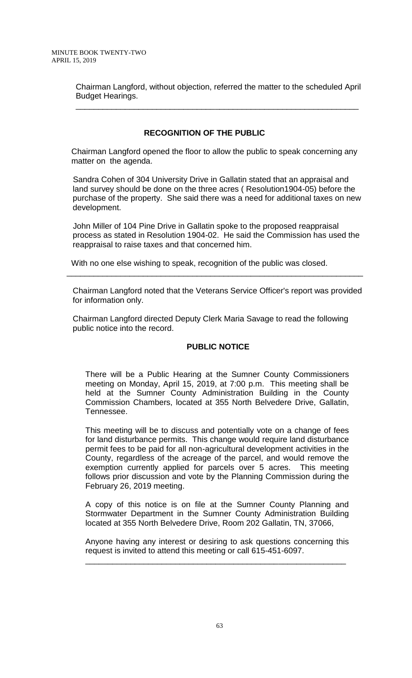Chairman Langford, without objection, referred the matter to the scheduled April Budget Hearings.

\_\_\_\_\_\_\_\_\_\_\_\_\_\_\_\_\_\_\_\_\_\_\_\_\_\_\_\_\_\_\_\_\_\_\_\_\_\_\_\_\_\_\_\_\_\_\_\_\_\_\_\_\_\_\_\_\_\_\_\_\_\_\_

# **RECOGNITION OF THE PUBLIC**

 Chairman Langford opened the floor to allow the public to speak concerning any matter on the agenda.

Sandra Cohen of 304 University Drive in Gallatin stated that an appraisal and land survey should be done on the three acres ( Resolution1904-05) before the purchase of the property. She said there was a need for additional taxes on new development.

John Miller of 104 Pine Drive in Gallatin spoke to the proposed reappraisal process as stated in Resolution 1904-02. He said the Commission has used the reappraisal to raise taxes and that concerned him.

With no one else wishing to speak, recognition of the public was closed.

Chairman Langford noted that the Veterans Service Officer's report was provided for information only.

\_\_\_\_\_\_\_\_\_\_\_\_\_\_\_\_\_\_\_\_\_\_\_\_\_\_\_\_\_\_\_\_\_\_\_\_\_\_\_\_\_\_\_\_\_\_\_\_\_\_\_\_\_\_\_\_\_\_\_\_\_\_\_\_\_\_

Chairman Langford directed Deputy Clerk Maria Savage to read the following public notice into the record.

# **PUBLIC NOTICE**

There will be a Public Hearing at the Sumner County Commissioners meeting on Monday, April 15, 2019, at 7:00 p.m. This meeting shall be held at the Sumner County Administration Building in the County Commission Chambers, located at 355 North Belvedere Drive, Gallatin, Tennessee.

This meeting will be to discuss and potentially vote on a change of fees for land disturbance permits. This change would require land disturbance permit fees to be paid for all non-agricultural development activities in the County, regardless of the acreage of the parcel, and would remove the exemption currently applied for parcels over 5 acres. This meeting follows prior discussion and vote by the Planning Commission during the February 26, 2019 meeting.

A copy of this notice is on file at the Sumner County Planning and Stormwater Department in the Sumner County Administration Building located at 355 North Belvedere Drive, Room 202 Gallatin, TN, 37066,

Anyone having any interest or desiring to ask questions concerning this request is invited to attend this meeting or call 615-451-6097.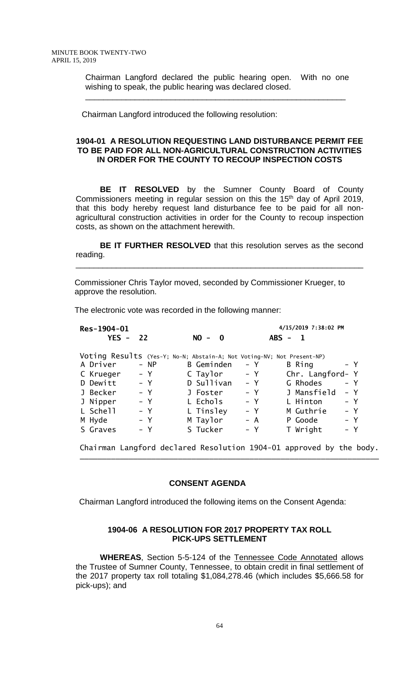Chairman Langford declared the public hearing open. With no one wishing to speak, the public hearing was declared closed.

\_\_\_\_\_\_\_\_\_\_\_\_\_\_\_\_\_\_\_\_\_\_\_\_\_\_\_\_\_\_\_\_\_\_\_\_\_\_\_\_\_\_\_\_\_\_\_\_\_\_\_\_\_\_\_\_\_\_

Chairman Langford introduced the following resolution:

## **1904-01 A RESOLUTION REQUESTING LAND DISTURBANCE PERMIT FEE TO BE PAID FOR ALL NON-AGRICULTURAL CONSTRUCTION ACTIVITIES IN ORDER FOR THE COUNTY TO RECOUP INSPECTION COSTS**

**BE IT RESOLVED** by the Sumner County Board of County Commissioners meeting in regular session on this the 15<sup>th</sup> day of April 2019, that this body hereby request land disturbance fee to be paid for all nonagricultural construction activities in order for the County to recoup inspection costs, as shown on the attachment herewith.

**BE IT FURTHER RESOLVED** that this resolution serves as the second reading.

\_\_\_\_\_\_\_\_\_\_\_\_\_\_\_\_\_\_\_\_\_\_\_\_\_\_\_\_\_\_\_\_\_\_\_\_\_\_\_\_\_\_\_\_\_\_\_\_\_\_\_\_\_\_\_\_\_\_\_\_\_\_\_\_

 Commissioner Chris Taylor moved, seconded by Commissioner Krueger, to approve the resolution.

The electronic vote was recorded in the following manner:

| Res-1904-01 |            |                                                                        |       | 4/15/2019 7:38:02 PM    |       |
|-------------|------------|------------------------------------------------------------------------|-------|-------------------------|-------|
|             | $YES - 22$ | $NO -$<br>$\mathbf{0}$                                                 |       | $ABS -$<br>$\mathbf{1}$ |       |
|             |            | Voting Results (Yes-Y; No-N; Abstain-A; Not Voting-NV; Not Present-NP) |       |                         |       |
| A Driver    | $- NP$     | B Geminden                                                             | $- Y$ | B Ring                  | – Y   |
| C Krueger   | $- Y$      | C Taylor                                                               | $- Y$ | Chr. Langford- Y        |       |
| D Dewitt    | $- Y$      | D Sullivan                                                             | $- Y$ | G Rhodes                | $- Y$ |
| J Becker    | $- Y$      | J Foster                                                               | $- Y$ | J Mansfield             | – Y   |
| J Nipper    | $- Y$      | L Echols                                                               | $- Y$ | L Hinton                | $- Y$ |
| L Schell    | $- Y$      | L Tinsley                                                              | $- Y$ | M Guthrie               | $- Y$ |
| M Hyde      | $- Y$      | M Taylor                                                               | $- A$ | P Goode                 | $- Y$ |
| S Graves    | – Y        | S Tucker                                                               | $- Y$ | T Wright                | $- Y$ |
|             |            |                                                                        |       |                         |       |
|             |            | Chairman Langford declared Resolution 1904-01 approved by the body.    |       |                         |       |

\_\_\_\_\_\_\_\_\_\_\_\_\_\_\_\_\_\_\_\_\_\_\_\_\_\_\_\_\_\_\_\_\_\_\_\_\_\_\_\_\_\_\_\_\_\_\_\_\_\_\_\_\_\_\_\_\_\_\_\_\_\_\_\_\_\_\_

#### **CONSENT AGENDA**

Chairman Langford introduced the following items on the Consent Agenda:

## **1904-06 A RESOLUTION FOR 2017 PROPERTY TAX ROLL PICK-UPS SETTLEMENT**

**WHEREAS**, Section 5-5-124 of the Tennessee Code Annotated allows the Trustee of Sumner County, Tennessee, to obtain credit in final settlement of the 2017 property tax roll totaling \$1,084,278.46 (which includes \$5,666.58 for pick-ups); and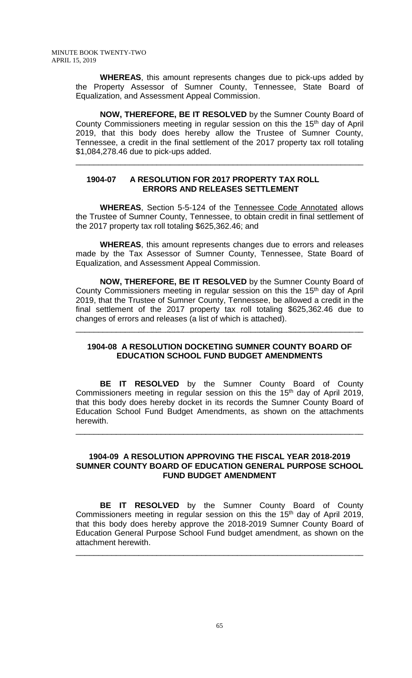**WHEREAS**, this amount represents changes due to pick-ups added by the Property Assessor of Sumner County, Tennessee, State Board of Equalization, and Assessment Appeal Commission.

**NOW, THEREFORE, BE IT RESOLVED** by the Sumner County Board of County Commissioners meeting in regular session on this the 15<sup>th</sup> day of April 2019, that this body does hereby allow the Trustee of Sumner County, Tennessee, a credit in the final settlement of the 2017 property tax roll totaling \$1,084,278.46 due to pick-ups added.

\_\_\_\_\_\_\_\_\_\_\_\_\_\_\_\_\_\_\_\_\_\_\_\_\_\_\_\_\_\_\_\_\_\_\_\_\_\_\_\_\_\_\_\_\_\_\_\_\_\_\_\_\_\_\_\_\_\_\_\_\_\_\_\_

## **1904-07 A RESOLUTION FOR 2017 PROPERTY TAX ROLL ERRORS AND RELEASES SETTLEMENT**

**WHEREAS**, Section 5-5-124 of the Tennessee Code Annotated allows the Trustee of Sumner County, Tennessee, to obtain credit in final settlement of the 2017 property tax roll totaling \$625,362.46; and

**WHEREAS**, this amount represents changes due to errors and releases made by the Tax Assessor of Sumner County, Tennessee, State Board of Equalization, and Assessment Appeal Commission.

**NOW, THEREFORE, BE IT RESOLVED** by the Sumner County Board of County Commissioners meeting in regular session on this the 15<sup>th</sup> day of April 2019, that the Trustee of Sumner County, Tennessee, be allowed a credit in the final settlement of the 2017 property tax roll totaling \$625,362.46 due to changes of errors and releases (a list of which is attached).

# **1904-08 A RESOLUTION DOCKETING SUMNER COUNTY BOARD OF EDUCATION SCHOOL FUND BUDGET AMENDMENTS**

\_\_\_\_\_\_\_\_\_\_\_\_\_\_\_\_\_\_\_\_\_\_\_\_\_\_\_\_\_\_\_\_\_\_\_\_\_\_\_\_\_\_\_\_\_\_\_\_\_\_\_\_\_\_\_\_\_\_\_\_\_\_\_\_

**BE IT RESOLVED** by the Sumner County Board of County Commissioners meeting in regular session on this the 15th day of April 2019, that this body does hereby docket in its records the Sumner County Board of Education School Fund Budget Amendments, as shown on the attachments herewith.

\_\_\_\_\_\_\_\_\_\_\_\_\_\_\_\_\_\_\_\_\_\_\_\_\_\_\_\_\_\_\_\_\_\_\_\_\_\_\_\_\_\_\_\_\_\_\_\_\_\_\_\_\_\_\_\_\_\_\_\_\_\_\_\_

### **1904-09 A RESOLUTION APPROVING THE FISCAL YEAR 2018-2019 SUMNER COUNTY BOARD OF EDUCATION GENERAL PURPOSE SCHOOL FUND BUDGET AMENDMENT**

**BE IT RESOLVED** by the Sumner County Board of County Commissioners meeting in regular session on this the 15<sup>th</sup> day of April 2019, that this body does hereby approve the 2018-2019 Sumner County Board of Education General Purpose School Fund budget amendment, as shown on the attachment herewith.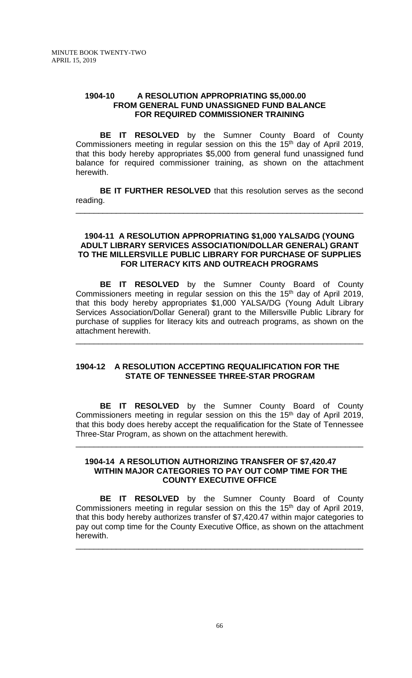## **1904-10 A RESOLUTION APPROPRIATING \$5,000.00 FROM GENERAL FUND UNASSIGNED FUND BALANCE FOR REQUIRED COMMISSIONER TRAINING**

**BE IT RESOLVED** by the Sumner County Board of County Commissioners meeting in regular session on this the 15<sup>th</sup> day of April 2019, that this body hereby appropriates \$5,000 from general fund unassigned fund balance for required commissioner training, as shown on the attachment herewith.

**BE IT FURTHER RESOLVED** that this resolution serves as the second reading.

\_\_\_\_\_\_\_\_\_\_\_\_\_\_\_\_\_\_\_\_\_\_\_\_\_\_\_\_\_\_\_\_\_\_\_\_\_\_\_\_\_\_\_\_\_\_\_\_\_\_\_\_\_\_\_\_\_\_\_\_\_\_\_\_

#### **1904-11 A RESOLUTION APPROPRIATING \$1,000 YALSA/DG (YOUNG ADULT LIBRARY SERVICES ASSOCIATION/DOLLAR GENERAL) GRANT TO THE MILLERSVILLE PUBLIC LIBRARY FOR PURCHASE OF SUPPLIES FOR LITERACY KITS AND OUTREACH PROGRAMS**

**BE IT RESOLVED** by the Sumner County Board of County Commissioners meeting in regular session on this the 15<sup>th</sup> day of April 2019, that this body hereby appropriates \$1,000 YALSA/DG (Young Adult Library Services Association/Dollar General) grant to the Millersville Public Library for purchase of supplies for literacy kits and outreach programs, as shown on the attachment herewith.

\_\_\_\_\_\_\_\_\_\_\_\_\_\_\_\_\_\_\_\_\_\_\_\_\_\_\_\_\_\_\_\_\_\_\_\_\_\_\_\_\_\_\_\_\_\_\_\_\_\_\_\_\_\_\_\_\_\_\_\_\_\_\_\_

# **1904-12 A RESOLUTION ACCEPTING REQUALIFICATION FOR THE STATE OF TENNESSEE THREE-STAR PROGRAM**

**BE IT RESOLVED** by the Sumner County Board of County Commissioners meeting in regular session on this the 15th day of April 2019, that this body does hereby accept the requalification for the State of Tennessee Three-Star Program, as shown on the attachment herewith.

\_\_\_\_\_\_\_\_\_\_\_\_\_\_\_\_\_\_\_\_\_\_\_\_\_\_\_\_\_\_\_\_\_\_\_\_\_\_\_\_\_\_\_\_\_\_\_\_\_\_\_\_\_\_\_\_\_\_\_\_\_\_\_\_

### **1904-14 A RESOLUTION AUTHORIZING TRANSFER OF \$7,420.47 WITHIN MAJOR CATEGORIES TO PAY OUT COMP TIME FOR THE COUNTY EXECUTIVE OFFICE**

**BE IT RESOLVED** by the Sumner County Board of County Commissioners meeting in regular session on this the 15<sup>th</sup> day of April 2019, that this body hereby authorizes transfer of \$7,420.47 within major categories to pay out comp time for the County Executive Office, as shown on the attachment herewith.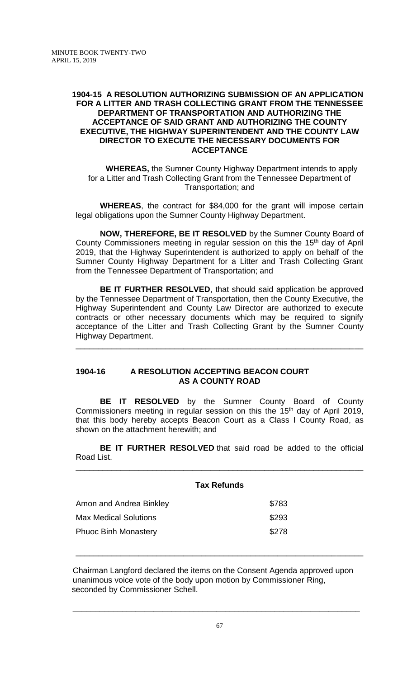## **1904-15 A RESOLUTION AUTHORIZING SUBMISSION OF AN APPLICATION FOR A LITTER AND TRASH COLLECTING GRANT FROM THE TENNESSEE DEPARTMENT OF TRANSPORTATION AND AUTHORIZING THE ACCEPTANCE OF SAID GRANT AND AUTHORIZING THE COUNTY EXECUTIVE, THE HIGHWAY SUPERINTENDENT AND THE COUNTY LAW DIRECTOR TO EXECUTE THE NECESSARY DOCUMENTS FOR ACCEPTANCE**

**WHEREAS,** the Sumner County Highway Department intends to apply for a Litter and Trash Collecting Grant from the Tennessee Department of Transportation; and

**WHEREAS**, the contract for \$84,000 for the grant will impose certain legal obligations upon the Sumner County Highway Department.

**NOW, THEREFORE, BE IT RESOLVED** by the Sumner County Board of County Commissioners meeting in regular session on this the 15<sup>th</sup> day of April 2019, that the Highway Superintendent is authorized to apply on behalf of the Sumner County Highway Department for a Litter and Trash Collecting Grant from the Tennessee Department of Transportation; and

**BE IT FURTHER RESOLVED**, that should said application be approved by the Tennessee Department of Transportation, then the County Executive, the Highway Superintendent and County Law Director are authorized to execute contracts or other necessary documents which may be required to signify acceptance of the Litter and Trash Collecting Grant by the Sumner County Highway Department.

\_\_\_\_\_\_\_\_\_\_\_\_\_\_\_\_\_\_\_\_\_\_\_\_\_\_\_\_\_\_\_\_\_\_\_\_\_\_\_\_\_\_\_\_\_\_\_\_\_\_\_\_\_\_\_\_\_\_\_\_\_\_\_\_

# **1904-16 A RESOLUTION ACCEPTING BEACON COURT AS A COUNTY ROAD**

**BE IT RESOLVED** by the Sumner County Board of County Commissioners meeting in regular session on this the 15<sup>th</sup> day of April 2019, that this body hereby accepts Beacon Court as a Class I County Road, as shown on the attachment herewith; and

**BE IT FURTHER RESOLVED** that said road be added to the official Road List. \_\_\_\_\_\_\_\_\_\_\_\_\_\_\_\_\_\_\_\_\_\_\_\_\_\_\_\_\_\_\_\_\_\_\_\_\_\_\_\_\_\_\_\_\_\_\_\_\_\_\_\_\_\_\_\_\_\_\_\_\_\_\_\_

|                              | <b>Tax Refunds</b> |
|------------------------------|--------------------|
| Amon and Andrea Binkley      | \$783              |
| <b>Max Medical Solutions</b> | \$293              |
| <b>Phuoc Binh Monastery</b>  | \$278              |

Chairman Langford declared the items on the Consent Agenda approved upon unanimous voice vote of the body upon motion by Commissioner Ring, seconded by Commissioner Schell.

\_\_\_\_\_\_\_\_\_\_\_\_\_\_\_\_\_\_\_\_\_\_\_\_\_\_\_\_\_\_\_\_\_\_\_\_\_\_\_\_\_\_\_\_\_\_\_\_\_\_\_\_\_\_\_\_\_\_\_\_\_\_\_\_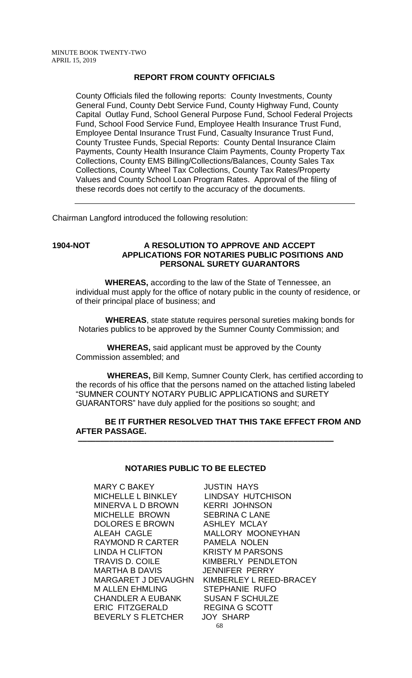# **REPORT FROM COUNTY OFFICIALS**

County Officials filed the following reports: County Investments, County General Fund, County Debt Service Fund, County Highway Fund, County Capital Outlay Fund, School General Purpose Fund, School Federal Projects Fund, School Food Service Fund, Employee Health Insurance Trust Fund, Employee Dental Insurance Trust Fund, Casualty Insurance Trust Fund, County Trustee Funds, Special Reports: County Dental Insurance Claim Payments, County Health Insurance Claim Payments, County Property Tax Collections, County EMS Billing/Collections/Balances, County Sales Tax Collections, County Wheel Tax Collections, County Tax Rates/Property Values and County School Loan Program Rates. Approval of the filing of these records does not certify to the accuracy of the documents.

Chairman Langford introduced the following resolution:

#### **1904-NOT A RESOLUTION TO APPROVE AND ACCEPT APPLICATIONS FOR NOTARIES PUBLIC POSITIONS AND PERSONAL SURETY GUARANTORS**

 **WHEREAS,** according to the law of the State of Tennessee, an individual must apply for the office of notary public in the county of residence, or of their principal place of business; and

 **WHEREAS**, state statute requires personal sureties making bonds for Notaries publics to be approved by the Sumner County Commission; and

 **WHEREAS,** said applicant must be approved by the County Commission assembled; and

 **WHEREAS,** Bill Kemp, Sumner County Clerk, has certified according to the records of his office that the persons named on the attached listing labeled "SUMNER COUNTY NOTARY PUBLIC APPLICATIONS and SURETY GUARANTORS" have duly applied for the positions so sought; and

### **BE IT FURTHER RESOLVED THAT THIS TAKE EFFECT FROM AND AFTER PASSAGE. –––––––––––––––––––––––––––––––––––––––––––––––––––––––––**

### **NOTARIES PUBLIC TO BE ELECTED**

MARY C BAKEY JUSTIN HAYS MINERVA L D BROWN KERRI JOHNSON MICHELLE BROWN SEBRINA C LANE DOLORES E BROWN ASHLEY MCLAY RAYMOND R CARTER PAMELA NOLEN LINDA H CLIFTON KRISTY M PARSONS TRAVIS D. COILE KIMBERLY PENDLETON MARTHA B DAVIS JENNIFER PERRY M ALLEN EHMLING STEPHANIE RUFO CHANDLER A EUBANK SUSAN F SCHULZE ERIC FITZGERALD REGINA G SCOTT BEVERLY S FLETCHER JOY SHARP

68 LINDSAY HUTCHISON ALEAH CAGLE MALLORY MOONEYHAN MARGARET J DEVAUGHN KIMBERLEY L REED-BRACEY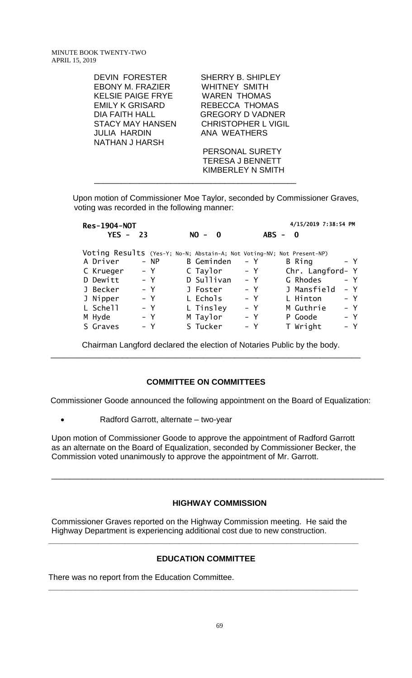| DEVIN FORESTER<br>EBONY M. FRAZIER<br><b>KELSIE PAIGE FRYE</b><br><b>EMILY K GRISARD</b><br><b>DIA FAITH HALL</b><br><b>STACY MAY HANSEN</b><br>JULIA HARDIN<br>NATHAN J HARSH | SHERRY B. SHIPLEY<br>WHITNEY SMITH<br><b>WAREN THOMAS</b><br>REBECCA THOMAS<br><b>GREGORY D VADNER</b><br><b>CHRISTOPHER L VIGIL</b><br>ANA WEATHERS |
|--------------------------------------------------------------------------------------------------------------------------------------------------------------------------------|------------------------------------------------------------------------------------------------------------------------------------------------------|
|                                                                                                                                                                                | PERSONAL SURETY<br><b>TERESA J BENNETT</b><br>KIMBERLEY N SMITH                                                                                      |

Upon motion of Commissioner Moe Taylor, seconded by Commissioner Graves, voting was recorded in the following manner:

| <b>Res-1904-NOT</b>                                                    |       |        |                   |              |       |         | 4/15/2019 7:38:54 PM |       |
|------------------------------------------------------------------------|-------|--------|-------------------|--------------|-------|---------|----------------------|-------|
| $YES -$                                                                | -23   |        | $NO -$            | $\mathbf{0}$ |       | $ABS -$ | - 0                  |       |
| Voting Results (Yes-Y; No-N; Abstain-A; Not Voting-NV; Not Present-NP) |       |        |                   |              |       |         |                      |       |
| A Driver                                                               |       | $- NP$ | <b>B</b> Geminden |              | – Y   |         | B Ring               | – Y   |
| C Krueger                                                              |       | $- Y$  | C Taylor          |              | – Y   |         | Chr. Langford- Y     |       |
| D Dewitt                                                               |       | $- Y$  | D Sullivan        |              |       | $- Y$   | G Rhodes             | – Y   |
| J Becker                                                               |       | $- Y$  | J Foster          |              | – Y   |         | J Mansfield          | $- Y$ |
| J Nipper                                                               |       | $- Y$  | L Echols          |              | – Y   |         | L Hinton             | $- Y$ |
| L Schell                                                               |       | $- Y$  | L Tinsley         |              | $- Y$ |         | M Guthrie            | $- Y$ |
| M Hyde                                                                 |       | $- Y$  | M Taylor          |              | – Y   |         | P Goode              | – Y   |
| S Graves                                                               | $- Y$ |        | S Tucker          |              | $- Y$ |         | T Wright             | $- Y$ |

Chairman Langford declared the election of Notaries Public by the body.

### **COMMITTEE ON COMMITTEES**

\_\_\_\_\_\_\_\_\_\_\_\_\_\_\_\_\_\_\_\_\_\_\_\_\_\_\_\_\_\_\_\_\_\_\_\_\_\_\_\_\_\_\_\_\_\_\_\_\_\_\_\_\_\_\_\_\_\_\_\_\_\_\_\_\_\_\_\_\_

Commissioner Goode announced the following appointment on the Board of Equalization:

• Radford Garrott, alternate – two-year

Upon motion of Commissioner Goode to approve the appointment of Radford Garrott as an alternate on the Board of Equalization, seconded by Commissioner Becker, the Commission voted unanimously to approve the appointment of Mr. Garrott.

#### **HIGHWAY COMMISSION**

\_\_\_\_\_\_\_\_\_\_\_\_\_\_\_\_\_\_\_\_\_\_\_\_\_\_\_\_\_\_\_\_\_\_\_\_\_\_\_\_\_\_\_\_\_\_\_\_\_\_\_\_\_\_\_\_\_\_\_\_\_\_\_\_\_\_\_\_\_\_\_\_\_\_

Commissioner Graves reported on the Highway Commission meeting. He said the Highway Department is experiencing additional cost due to new construction.

# **EDUCATION COMMITTEE**

**\_\_\_\_\_\_\_\_\_\_\_\_\_\_\_\_\_\_\_\_\_\_\_\_\_\_\_\_\_\_\_\_\_\_\_\_\_\_\_\_\_\_\_\_\_\_\_\_\_\_\_\_\_\_\_\_\_\_\_\_\_\_\_\_\_\_\_\_\_**

**\_\_\_\_\_\_\_\_\_\_\_\_\_\_\_\_\_\_\_\_\_\_\_\_\_\_\_\_\_\_\_\_\_\_\_\_\_\_\_\_\_\_\_\_\_\_\_\_\_\_\_\_\_\_\_\_\_\_\_\_\_\_\_\_\_\_\_\_\_**

There was no report from the Education Committee.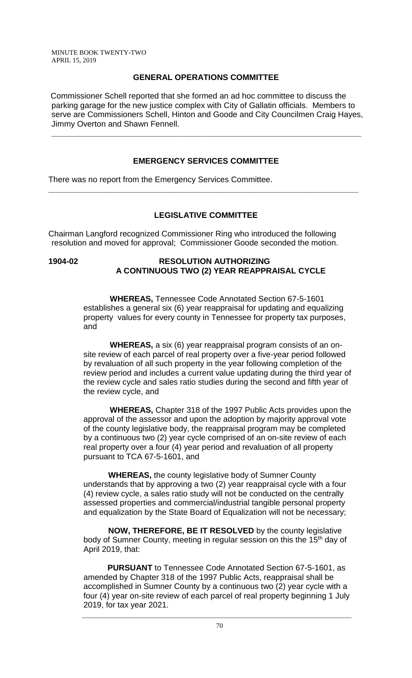# **GENERAL OPERATIONS COMMITTEE**

Commissioner Schell reported that she formed an ad hoc committee to discuss the parking garage for the new justice complex with City of Gallatin officials. Members to serve are Commissioners Schell, Hinton and Goode and City Councilmen Craig Hayes, Jimmy Overton and Shawn Fennell.

**\_\_\_\_\_\_\_\_\_\_\_\_\_\_\_\_\_\_\_\_\_\_\_\_\_\_\_\_\_\_\_\_\_\_\_\_\_\_\_\_\_\_\_\_\_\_\_\_\_\_\_\_\_\_\_\_\_\_\_\_\_\_\_\_\_\_\_\_\_**

# **EMERGENCY SERVICES COMMITTEE**

There was no report from the Emergency Services Committee.

# **LEGISLATIVE COMMITTEE**

**\_\_\_\_\_\_\_\_\_\_\_\_\_\_\_\_\_\_\_\_\_\_\_\_\_\_\_\_\_\_\_\_\_\_\_\_\_\_\_\_\_\_\_\_\_\_\_\_\_\_\_\_\_\_\_\_\_\_\_\_\_\_\_\_\_\_\_\_\_**

Chairman Langford recognized Commissioner Ring who introduced the following resolution and moved for approval; Commissioner Goode seconded the motion.

# **1904-02 RESOLUTION AUTHORIZING A CONTINUOUS TWO (2) YEAR REAPPRAISAL CYCLE**

 **WHEREAS,** Tennessee Code Annotated Section 67-5-1601 establishes a general six (6) year reappraisal for updating and equalizing property values for every county in Tennessee for property tax purposes, and

 **WHEREAS,** a six (6) year reappraisal program consists of an onsite review of each parcel of real property over a five-year period followed by revaluation of all such property in the year following completion of the review period and includes a current value updating during the third year of the review cycle and sales ratio studies during the second and fifth year of the review cycle, and

 **WHEREAS,** Chapter 318 of the 1997 Public Acts provides upon the approval of the assessor and upon the adoption by majority approval vote of the county legislative body, the reappraisal program may be completed by a continuous two (2) year cycle comprised of an on-site review of each real property over a four (4) year period and revaluation of all property pursuant to TCA 67-5-1601, and

 **WHEREAS,** the county legislative body of Sumner County understands that by approving a two (2) year reappraisal cycle with a four (4) review cycle, a sales ratio study will not be conducted on the centrally assessed properties and commercial/industrial tangible personal property and equalization by the State Board of Equalization will not be necessary;

 **NOW, THEREFORE, BE IT RESOLVED** by the county legislative body of Sumner County, meeting in regular session on this the 15<sup>th</sup> day of April 2019, that:

 **PURSUANT** to Tennessee Code Annotated Section 67-5-1601, as amended by Chapter 318 of the 1997 Public Acts, reappraisal shall be accomplished in Sumner County by a continuous two (2) year cycle with a four (4) year on-site review of each parcel of real property beginning 1 July 2019, for tax year 2021.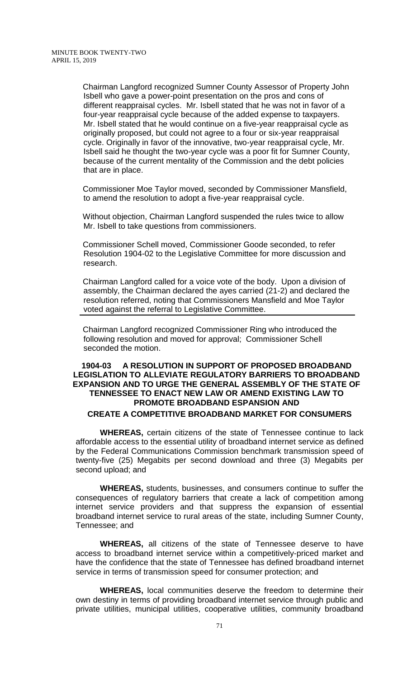Chairman Langford recognized Sumner County Assessor of Property John Isbell who gave a power-point presentation on the pros and cons of different reappraisal cycles. Mr. Isbell stated that he was not in favor of a four-year reappraisal cycle because of the added expense to taxpayers. Mr. Isbell stated that he would continue on a five-year reappraisal cycle as originally proposed, but could not agree to a four or six-year reappraisal cycle. Originally in favor of the innovative, two-year reappraisal cycle, Mr. Isbell said he thought the two-year cycle was a poor fit for Sumner County, because of the current mentality of the Commission and the debt policies that are in place.

Commissioner Moe Taylor moved, seconded by Commissioner Mansfield, to amend the resolution to adopt a five-year reappraisal cycle.

Without objection, Chairman Langford suspended the rules twice to allow Mr. Isbell to take questions from commissioners.

Commissioner Schell moved, Commissioner Goode seconded, to refer Resolution 1904-02 to the Legislative Committee for more discussion and research.

Chairman Langford called for a voice vote of the body. Upon a division of assembly, the Chairman declared the ayes carried (21-2) and declared the resolution referred, noting that Commissioners Mansfield and Moe Taylor voted against the referral to Legislative Committee.

Chairman Langford recognized Commissioner Ring who introduced the following resolution and moved for approval; Commissioner Schell seconded the motion.

## **1904-03 A RESOLUTION IN SUPPORT OF PROPOSED BROADBAND LEGISLATION TO ALLEVIATE REGULATORY BARRIERS TO BROADBAND EXPANSION AND TO URGE THE GENERAL ASSEMBLY OF THE STATE OF TENNESSEE TO ENACT NEW LAW OR AMEND EXISTING LAW TO PROMOTE BROADBAND ESPANSION AND CREATE A COMPETITIVE BROADBAND MARKET FOR CONSUMERS**

**WHEREAS,** certain citizens of the state of Tennessee continue to lack affordable access to the essential utility of broadband internet service as defined by the Federal Communications Commission benchmark transmission speed of twenty-five (25) Megabits per second download and three (3) Megabits per second upload; and

**WHEREAS,** students, businesses, and consumers continue to suffer the consequences of regulatory barriers that create a lack of competition among internet service providers and that suppress the expansion of essential broadband internet service to rural areas of the state, including Sumner County, Tennessee; and

**WHEREAS,** all citizens of the state of Tennessee deserve to have access to broadband internet service within a competitively-priced market and have the confidence that the state of Tennessee has defined broadband internet service in terms of transmission speed for consumer protection; and

**WHEREAS,** local communities deserve the freedom to determine their own destiny in terms of providing broadband internet service through public and private utilities, municipal utilities, cooperative utilities, community broadband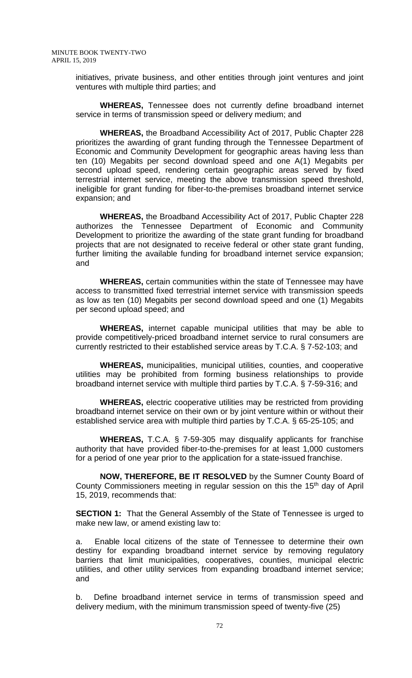initiatives, private business, and other entities through joint ventures and joint ventures with multiple third parties; and

**WHEREAS,** Tennessee does not currently define broadband internet service in terms of transmission speed or delivery medium; and

**WHEREAS,** the Broadband Accessibility Act of 2017, Public Chapter 228 prioritizes the awarding of grant funding through the Tennessee Department of Economic and Community Development for geographic areas having less than ten (10) Megabits per second download speed and one A(1) Megabits per second upload speed, rendering certain geographic areas served by fixed terrestrial internet service, meeting the above transmission speed threshold, ineligible for grant funding for fiber-to-the-premises broadband internet service expansion; and

**WHEREAS,** the Broadband Accessibility Act of 2017, Public Chapter 228 authorizes the Tennessee Department of Economic and Community Development to prioritize the awarding of the state grant funding for broadband projects that are not designated to receive federal or other state grant funding, further limiting the available funding for broadband internet service expansion; and

**WHEREAS,** certain communities within the state of Tennessee may have access to transmitted fixed terrestrial internet service with transmission speeds as low as ten (10) Megabits per second download speed and one (1) Megabits per second upload speed; and

**WHEREAS,** internet capable municipal utilities that may be able to provide competitively-priced broadband internet service to rural consumers are currently restricted to their established service areas by T.C.A. § 7-52-103; and

**WHEREAS,** municipalities, municipal utilities, counties, and cooperative utilities may be prohibited from forming business relationships to provide broadband internet service with multiple third parties by T.C.A. § 7-59-316; and

**WHEREAS,** electric cooperative utilities may be restricted from providing broadband internet service on their own or by joint venture within or without their established service area with multiple third parties by T.C.A. § 65-25-105; and

**WHEREAS,** T.C.A. § 7-59-305 may disqualify applicants for franchise authority that have provided fiber-to-the-premises for at least 1,000 customers for a period of one year prior to the application for a state-issued franchise.

**NOW, THEREFORE, BE IT RESOLVED** by the Sumner County Board of County Commissioners meeting in regular session on this the 15<sup>th</sup> day of April 15, 2019, recommends that:

**SECTION 1:** That the General Assembly of the State of Tennessee is urged to make new law, or amend existing law to:

 a. Enable local citizens of the state of Tennessee to determine their own destiny for expanding broadband internet service by removing regulatory barriers that limit municipalities, cooperatives, counties, municipal electric utilities, and other utility services from expanding broadband internet service; and

 b. Define broadband internet service in terms of transmission speed and delivery medium, with the minimum transmission speed of twenty-five (25)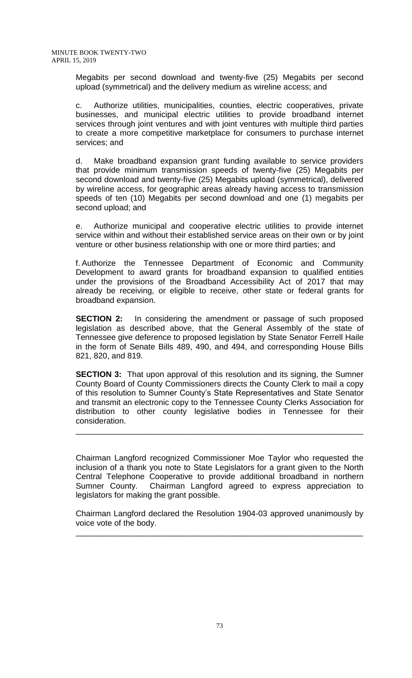Megabits per second download and twenty-five (25) Megabits per second upload (symmetrical) and the delivery medium as wireline access; and

 c. Authorize utilities, municipalities, counties, electric cooperatives, private businesses, and municipal electric utilities to provide broadband internet services through joint ventures and with joint ventures with multiple third parties to create a more competitive marketplace for consumers to purchase internet services; and

 d. Make broadband expansion grant funding available to service providers that provide minimum transmission speeds of twenty-five (25) Megabits per second download and twenty-five (25) Megabits upload (symmetrical), delivered by wireline access, for geographic areas already having access to transmission speeds of ten (10) Megabits per second download and one (1) megabits per second upload; and

 e. Authorize municipal and cooperative electric utilities to provide internet service within and without their established service areas on their own or by joint venture or other business relationship with one or more third parties; and

 f. Authorize the Tennessee Department of Economic and Community Development to award grants for broadband expansion to qualified entities under the provisions of the Broadband Accessibility Act of 2017 that may already be receiving, or eligible to receive, other state or federal grants for broadband expansion.

**SECTION 2:** In considering the amendment or passage of such proposed legislation as described above, that the General Assembly of the state of Tennessee give deference to proposed legislation by State Senator Ferrell Haile in the form of Senate Bills 489, 490, and 494, and corresponding House Bills 821, 820, and 819.

**SECTION 3:** That upon approval of this resolution and its signing, the Sumner County Board of County Commissioners directs the County Clerk to mail a copy of this resolution to Sumner County's State Representatives and State Senator and transmit an electronic copy to the Tennessee County Clerks Association for distribution to other county legislative bodies in Tennessee for their consideration.

\_\_\_\_\_\_\_\_\_\_\_\_\_\_\_\_\_\_\_\_\_\_\_\_\_\_\_\_\_\_\_\_\_\_\_\_\_\_\_\_\_\_\_\_\_\_\_\_\_\_\_\_\_\_\_\_\_\_\_\_\_\_\_\_

Chairman Langford recognized Commissioner Moe Taylor who requested the inclusion of a thank you note to State Legislators for a grant given to the North Central Telephone Cooperative to provide additional broadband in northern Sumner County. Chairman Langford agreed to express appreciation to legislators for making the grant possible.

Chairman Langford declared the Resolution 1904-03 approved unanimously by voice vote of the body.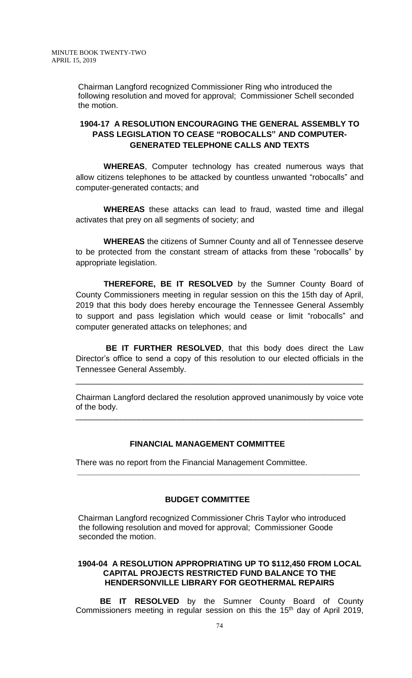Chairman Langford recognized Commissioner Ring who introduced the following resolution and moved for approval; Commissioner Schell seconded the motion.

# **1904-17 A RESOLUTION ENCOURAGING THE GENERAL ASSEMBLY TO PASS LEGISLATION TO CEASE "ROBOCALLS" AND COMPUTER-GENERATED TELEPHONE CALLS AND TEXTS**

 **WHEREAS**, Computer technology has created numerous ways that allow citizens telephones to be attacked by countless unwanted "robocalls" and computer-generated contacts; and

 **WHEREAS** these attacks can lead to fraud, wasted time and illegal activates that prey on all segments of society; and

 **WHEREAS** the citizens of Sumner County and all of Tennessee deserve to be protected from the constant stream of attacks from these "robocalls" by appropriate legislation.

 **THEREFORE, BE IT RESOLVED** by the Sumner County Board of County Commissioners meeting in regular session on this the 15th day of April, 2019 that this body does hereby encourage the Tennessee General Assembly to support and pass legislation which would cease or limit "robocalls" and computer generated attacks on telephones; and

 **BE IT FURTHER RESOLVED**, that this body does direct the Law Director's office to send a copy of this resolution to our elected officials in the Tennessee General Assembly.

Chairman Langford declared the resolution approved unanimously by voice vote of the body.

\_\_\_\_\_\_\_\_\_\_\_\_\_\_\_\_\_\_\_\_\_\_\_\_\_\_\_\_\_\_\_\_\_\_\_\_\_\_\_\_\_\_\_\_\_\_\_\_\_\_\_\_\_\_\_\_\_\_\_\_\_\_\_\_

\_\_\_\_\_\_\_\_\_\_\_\_\_\_\_\_\_\_\_\_\_\_\_\_\_\_\_\_\_\_\_\_\_\_\_\_\_\_\_\_\_\_\_\_\_\_\_\_\_\_\_\_\_\_\_\_\_\_\_\_\_\_\_\_

# **FINANCIAL MANAGEMENT COMMITTEE**

There was no report from the Financial Management Committee.

# **BUDGET COMMITTEE**

 **\_\_\_\_\_\_\_\_\_\_\_\_\_\_\_\_\_\_\_\_\_\_\_\_\_\_\_\_\_\_\_\_\_\_\_\_\_\_\_\_\_\_\_\_\_\_\_\_\_\_\_\_\_\_\_\_\_\_\_\_\_\_\_**

Chairman Langford recognized Commissioner Chris Taylor who introduced the following resolution and moved for approval; Commissioner Goode seconded the motion.

### **1904-04 A RESOLUTION APPROPRIATING UP TO \$112,450 FROM LOCAL CAPITAL PROJECTS RESTRICTED FUND BALANCE TO THE HENDERSONVILLE LIBRARY FOR GEOTHERMAL REPAIRS**

**BE IT RESOLVED** by the Sumner County Board of County Commissioners meeting in regular session on this the 15<sup>th</sup> day of April 2019,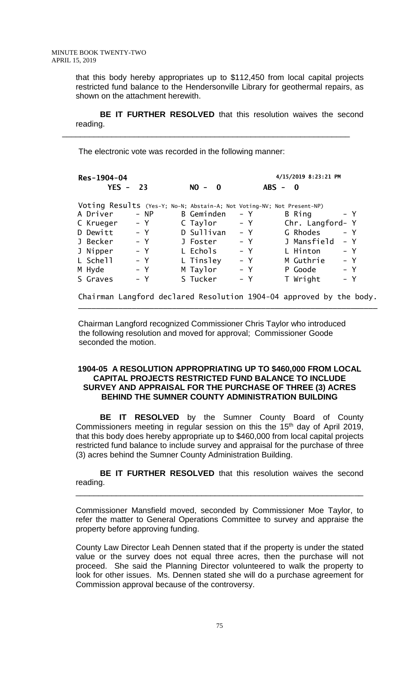that this body hereby appropriates up to \$112,450 from local capital projects restricted fund balance to the Hendersonville Library for geothermal repairs, as shown on the attachment herewith.

**BE IT FURTHER RESOLVED** that this resolution waives the second reading.

\_\_\_\_\_\_\_\_\_\_\_\_\_\_\_\_\_\_\_\_\_\_\_\_\_\_\_\_\_\_\_\_\_\_\_\_\_\_\_\_\_\_\_\_\_\_\_\_\_\_\_\_\_\_\_\_\_\_\_\_\_\_\_\_

The electronic vote was recorded in the following manner:

 **Res-1904-04 4/15/2019 8:23:21 PM YES - 23 NO - 0 ABS - 0** Voting Results (Yes-Y; No-N; Abstain-A; Not Voting-NV; Not Present-NP) A Driver NP B Geminden Y B Ring Y C Krueger - Y C Taylor - Y Chr. Langford- Y D Dewitt - Y D Sullivan - Y G Rhodes - Y J Becker - Y J Foster - Y J Mansfield - Y J Nipper - Y L Echols - Y L Hinton - Y L Schell - Y L Tinsley - Y M Guthrie - Y M Hyde - Y M Taylor - Y P Goode - Y S Graves - Y S Tucker - Y T Wright - Y

Chairman Langford declared Resolution 1904-04 approved by the body.

 $\overline{\phantom{a}}$  , and the contract of the contract of the contract of the contract of the contract of the contract of the contract of the contract of the contract of the contract of the contract of the contract of the contrac

Chairman Langford recognized Commissioner Chris Taylor who introduced the following resolution and moved for approval; Commissioner Goode seconded the motion.

### **1904-05 A RESOLUTION APPROPRIATING UP TO \$460,000 FROM LOCAL CAPITAL PROJECTS RESTRICTED FUND BALANCE TO INCLUDE SURVEY AND APPRAISAL FOR THE PURCHASE OF THREE (3) ACRES BEHIND THE SUMNER COUNTY ADMINISTRATION BUILDING**

**BE IT RESOLVED** by the Sumner County Board of County Commissioners meeting in regular session on this the 15<sup>th</sup> day of April 2019, that this body does hereby appropriate up to \$460,000 from local capital projects restricted fund balance to include survey and appraisal for the purchase of three (3) acres behind the Sumner County Administration Building.

**BE IT FURTHER RESOLVED** that this resolution waives the second reading.

\_\_\_\_\_\_\_\_\_\_\_\_\_\_\_\_\_\_\_\_\_\_\_\_\_\_\_\_\_\_\_\_\_\_\_\_\_\_\_\_\_\_\_\_\_\_\_\_\_\_\_\_\_\_\_\_\_\_\_\_\_\_\_\_

Commissioner Mansfield moved, seconded by Commissioner Moe Taylor, to refer the matter to General Operations Committee to survey and appraise the property before approving funding.

County Law Director Leah Dennen stated that if the property is under the stated value or the survey does not equal three acres, then the purchase will not proceed. She said the Planning Director volunteered to walk the property to look for other issues. Ms. Dennen stated she will do a purchase agreement for Commission approval because of the controversy.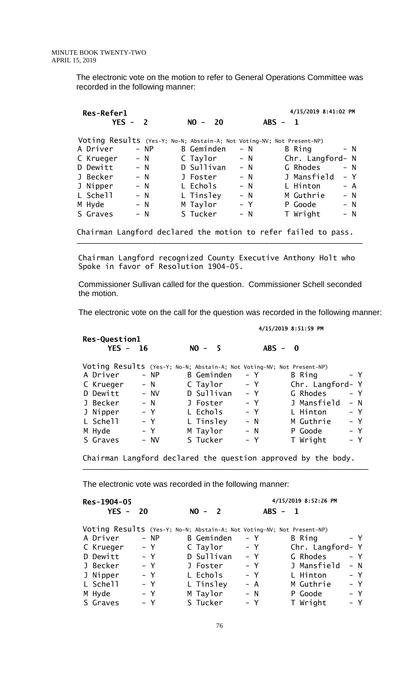The electronic vote on the motion to refer to General Operations Committee was recorded in the following manner:

| Res-Refer1 |           |       |                                                                        |       | 4/15/2019 8:41:02 PM      |       |
|------------|-----------|-------|------------------------------------------------------------------------|-------|---------------------------|-------|
|            | $YES - 2$ |       | $NO -$<br>20                                                           |       | $ABS -$<br>$\blacksquare$ |       |
|            |           |       | Voting Results (Yes-Y; No-N; Abstain-A; Not Voting-NV; Not Present-NP) |       |                           |       |
| A Driver   |           | - NP  | <b>B</b> Geminden                                                      | - N   | B Ring                    | – N   |
| C Krueger  |           | $- N$ | C Taylor                                                               | $- N$ | Chr. Langford- N          |       |
| D Dewitt   |           | $- N$ | D Sullivan                                                             | $- N$ | G Rhodes                  | – N   |
| J Becker   |           | $- N$ | J Foster                                                               | $- N$ | J Mansfield               | – Y   |
| J Nipper   |           | $- N$ | L Echols                                                               | $- N$ | L Hinton                  | – A   |
| L Schell   |           | $- N$ | L Tinsley                                                              | $- N$ | M Guthrie                 | $- N$ |
| M Hyde     |           | $- N$ | M Taylor                                                               | $- Y$ | P Goode                   | $- N$ |
| S Graves   |           | – N   | S Tucker                                                               | $- N$ | T Wright                  |       |

 Chairman Langford recognized County Executive Anthony Holt who Spoke in favor of Resolution 1904-05.

\_\_\_\_\_\_\_\_\_\_\_\_\_\_\_\_\_\_\_\_\_\_\_\_\_\_\_\_\_\_\_\_\_\_\_\_\_\_\_\_\_\_\_\_\_\_\_\_\_\_\_\_\_\_\_\_\_\_\_\_\_\_\_\_

 Commissioner Sullivan called for the question. Commissioner Schell seconded the motion.

The electronic vote on the call for the question was recorded in the following manner:

**4/15/2019 8:51:59 PM**

| $YES -$   | - 16   | $NO -$<br>- 5                                                          | $ABS -$ | $\mathbf{0}$     |       |
|-----------|--------|------------------------------------------------------------------------|---------|------------------|-------|
|           |        | Voting Results (Yes-Y; No-N; Abstain-A; Not Voting-NV; Not Present-NP) |         |                  |       |
| A Driver  | $- NP$ | B Geminden                                                             | – Y     | B Ring           | $- Y$ |
| C Krueger | $- N$  | C Taylor                                                               | – Y     | Chr. Langford- Y |       |
| D Dewitt  | $- NV$ | D Sullivan                                                             | $- Y$   | G Rhodes         | $- Y$ |
| J Becker  | $- N$  | J Foster                                                               | $- Y$   | J Mansfield      | $- N$ |
| J Nipper  | $- Y$  | L Echols                                                               | $- Y$   | L Hinton         | $- Y$ |
| L Schell  | $- Y$  | L Tinsley                                                              | $- N$   | M Guthrie        | - Y   |
| M Hyde    | $- Y$  | M Taylor                                                               | $- N$   | P Goode          | - Y   |
| S Graves  | – NV   | S Tucker                                                               | – Y     | T Wright         | - Y   |

Chairman Langford declared the question approved by the body.

\_\_\_\_\_\_\_\_\_\_\_\_\_\_\_\_\_\_\_\_\_\_\_\_\_\_\_\_\_\_\_\_\_\_\_\_\_\_\_\_\_\_\_\_\_\_\_\_\_\_\_\_\_\_\_\_\_\_\_\_\_\_\_\_

The electronic vote was recorded in the following manner:

| Res-1904-05 |                      |                                                                        |                           | 4/15/2019 8:52:26 PM |  |  |  |  |  |
|-------------|----------------------|------------------------------------------------------------------------|---------------------------|----------------------|--|--|--|--|--|
|             | $YES -$<br><b>20</b> | $NO -$<br>$\overline{\mathbf{2}}$                                      | $ABS -$<br>$\blacksquare$ |                      |  |  |  |  |  |
|             |                      | Voting Results (Yes-Y; No-N; Abstain-A; Not Voting-NV; Not Present-NP) |                           |                      |  |  |  |  |  |
| A Driver    | - NP                 | B Geminden                                                             | – Y                       | - Y<br>B Ring        |  |  |  |  |  |
| C Krueger   | $- Y$                | C Taylor                                                               | $- Y$                     | Chr. Langford- Y     |  |  |  |  |  |
| D Dewitt    | $- Y$                | D Sullivan                                                             | $- Y$                     | G Rhodes<br>$- Y$    |  |  |  |  |  |
| J Becker    | $- Y$                | J Foster                                                               | – Y                       | J Mansfield<br>- N   |  |  |  |  |  |
| J Nipper    | $- Y$                | L Echols                                                               | $- Y$                     | $- Y$<br>L Hinton    |  |  |  |  |  |
| L Schell    | $- Y$                | L Tinsley                                                              | – A                       | $- Y$<br>M Guthrie   |  |  |  |  |  |
| M Hyde      | $- Y$                | M Taylor                                                               | $- N$                     | $- Y$<br>P Goode     |  |  |  |  |  |
| S Graves    | - Y                  | S Tucker                                                               | $- Y$                     | - Y<br>T Wright      |  |  |  |  |  |